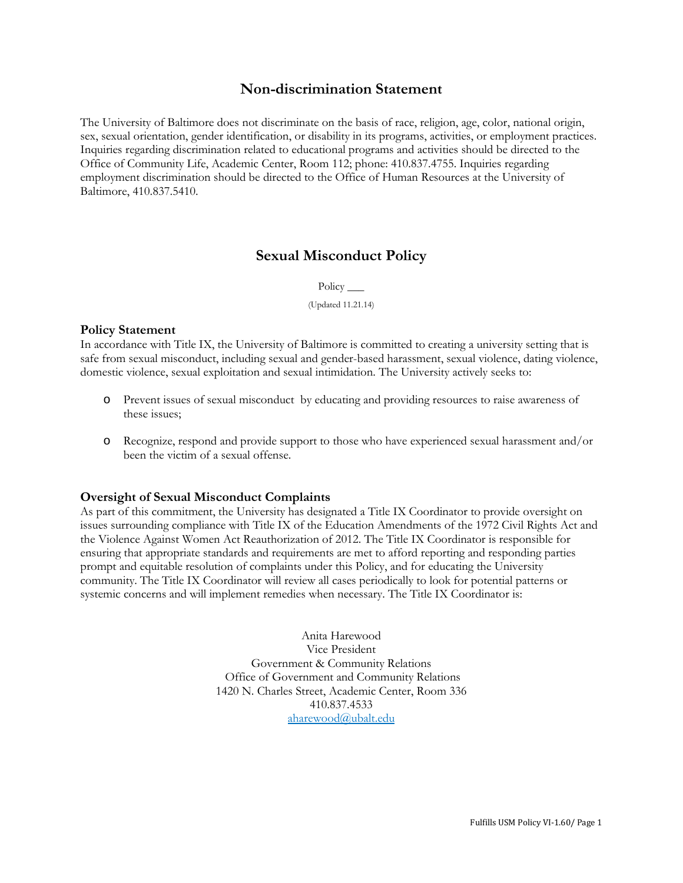# **Non-discrimination Statement**

The University of Baltimore does not discriminate on the basis of race, religion, age, color, national origin, sex, sexual orientation, gender identification, or disability in its programs, activities, or employment practices. Inquiries regarding discrimination related to educational programs and activities should be directed to the Office of Community Life, Academic Center, Room 112; phone: 410.837.4755. Inquiries regarding employment discrimination should be directed to the Office of Human Resources at the University of Baltimore, 410.837.5410.

# **Sexual Misconduct Policy**

Policy \_\_\_\_\_

(Updated 11.21.14)

#### **Policy Statement**

In accordance with Title IX, the University of Baltimore is committed to creating a university setting that is safe from sexual misconduct, including sexual and gender-based harassment, sexual violence, dating violence, domestic violence, sexual exploitation and sexual intimidation. The University actively seeks to:

- Prevent issues of sexual misconduct by educating and providing resources to raise awareness of these issues;
- o Recognize, respond and provide support to those who have experienced sexual harassment and/or been the victim of a sexual offense.

#### **Oversight of Sexual Misconduct Complaints**

As part of this commitment, the University has designated a Title IX Coordinator to provide oversight on issues surrounding compliance with Title IX of the Education Amendments of the 1972 Civil Rights Act and the Violence Against Women Act Reauthorization of 2012. The Title IX Coordinator is responsible for ensuring that appropriate standards and requirements are met to afford reporting and responding parties prompt and equitable resolution of complaints under this Policy, and for educating the University community. The Title IX Coordinator will review all cases periodically to look for potential patterns or systemic concerns and will implement remedies when necessary. The Title IX Coordinator is:

> Anita Harewood Vice President Government & Community Relations Office of Government and Community Relations 1420 N. Charles Street, Academic Center, Room 336 410.837.4533 [aharewood@ubalt.edu](mailto:aharewood@ubalt.edu)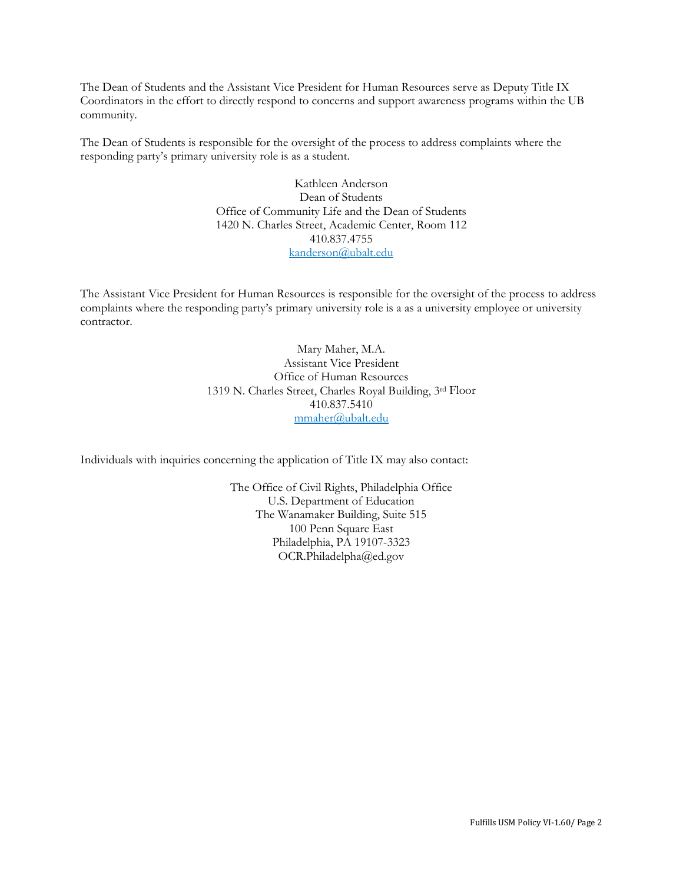The Dean of Students and the Assistant Vice President for Human Resources serve as Deputy Title IX Coordinators in the effort to directly respond to concerns and support awareness programs within the UB community.

The Dean of Students is responsible for the oversight of the process to address complaints where the responding party's primary university role is as a student.

> Kathleen Anderson Dean of Students Office of Community Life and the Dean of Students 1420 N. Charles Street, Academic Center, Room 112 410.837.4755 [kanderson@ubalt.edu](mailto:kanderson@ubalt.edu)

The Assistant Vice President for Human Resources is responsible for the oversight of the process to address complaints where the responding party's primary university role is a as a university employee or university contractor.

> Mary Maher, M.A. Assistant Vice President Office of Human Resources 1319 N. Charles Street, Charles Royal Building, 3rd Floor 410.837.5410 [mmaher@ubalt.edu](mailto:mmaher@ubalt.edu)

Individuals with inquiries concerning the application of Title IX may also contact:

The Office of Civil Rights, Philadelphia Office U.S. Department of Education The Wanamaker Building, Suite 515 100 Penn Square East Philadelphia, PA 19107-3323 OCR.Philadelpha@ed.gov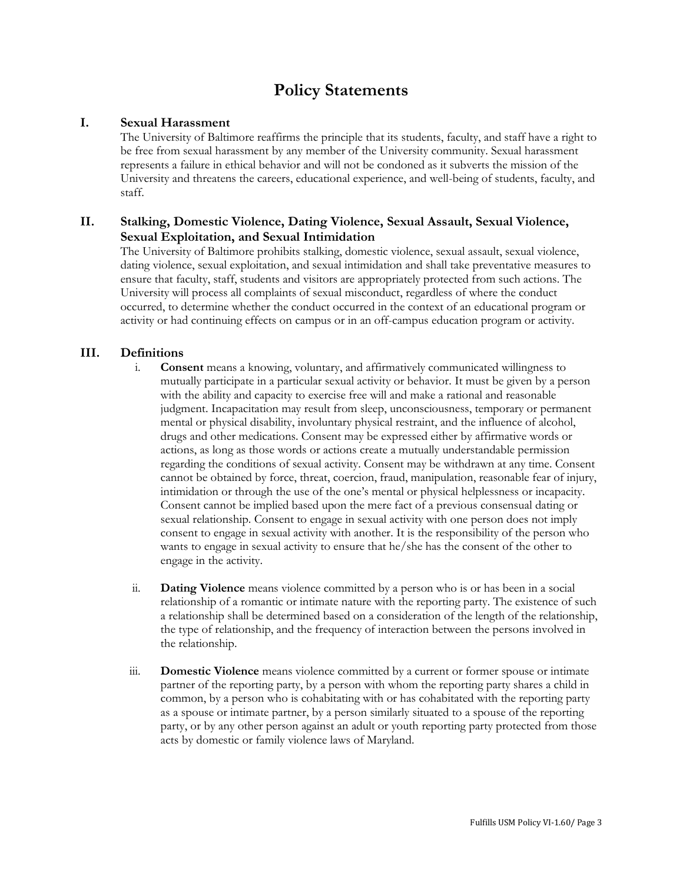# **Policy Statements**

### **I. Sexual Harassment**

The University of Baltimore reaffirms the principle that its students, faculty, and staff have a right to be free from sexual harassment by any member of the University community. Sexual harassment represents a failure in ethical behavior and will not be condoned as it subverts the mission of the University and threatens the careers, educational experience, and well-being of students, faculty, and staff.

### **II. Stalking, Domestic Violence, Dating Violence, Sexual Assault, Sexual Violence, Sexual Exploitation, and Sexual Intimidation**

The University of Baltimore prohibits stalking, domestic violence, sexual assault, sexual violence, dating violence, sexual exploitation, and sexual intimidation and shall take preventative measures to ensure that faculty, staff, students and visitors are appropriately protected from such actions. The University will process all complaints of sexual misconduct, regardless of where the conduct occurred, to determine whether the conduct occurred in the context of an educational program or activity or had continuing effects on campus or in an off-campus education program or activity.

### **III. Definitions**

- i. **Consent** means a knowing, voluntary, and affirmatively communicated willingness to mutually participate in a particular sexual activity or behavior. It must be given by a person with the ability and capacity to exercise free will and make a rational and reasonable judgment. Incapacitation may result from sleep, unconsciousness, temporary or permanent mental or physical disability, involuntary physical restraint, and the influence of alcohol, drugs and other medications. Consent may be expressed either by affirmative words or actions, as long as those words or actions create a mutually understandable permission regarding the conditions of sexual activity. Consent may be withdrawn at any time. Consent cannot be obtained by force, threat, coercion, fraud, manipulation, reasonable fear of injury, intimidation or through the use of the one's mental or physical helplessness or incapacity. Consent cannot be implied based upon the mere fact of a previous consensual dating or sexual relationship. Consent to engage in sexual activity with one person does not imply consent to engage in sexual activity with another. It is the responsibility of the person who wants to engage in sexual activity to ensure that he/she has the consent of the other to engage in the activity.
- ii. **Dating Violence** means violence committed by a person who is or has been in a social relationship of a romantic or intimate nature with the reporting party. The existence of such a relationship shall be determined based on a consideration of the length of the relationship, the type of relationship, and the frequency of interaction between the persons involved in the relationship.
- iii. **Domestic Violence** means violence committed by a current or former spouse or intimate partner of the reporting party, by a person with whom the reporting party shares a child in common, by a person who is cohabitating with or has cohabitated with the reporting party as a spouse or intimate partner, by a person similarly situated to a spouse of the reporting party, or by any other person against an adult or youth reporting party protected from those acts by domestic or family violence laws of Maryland.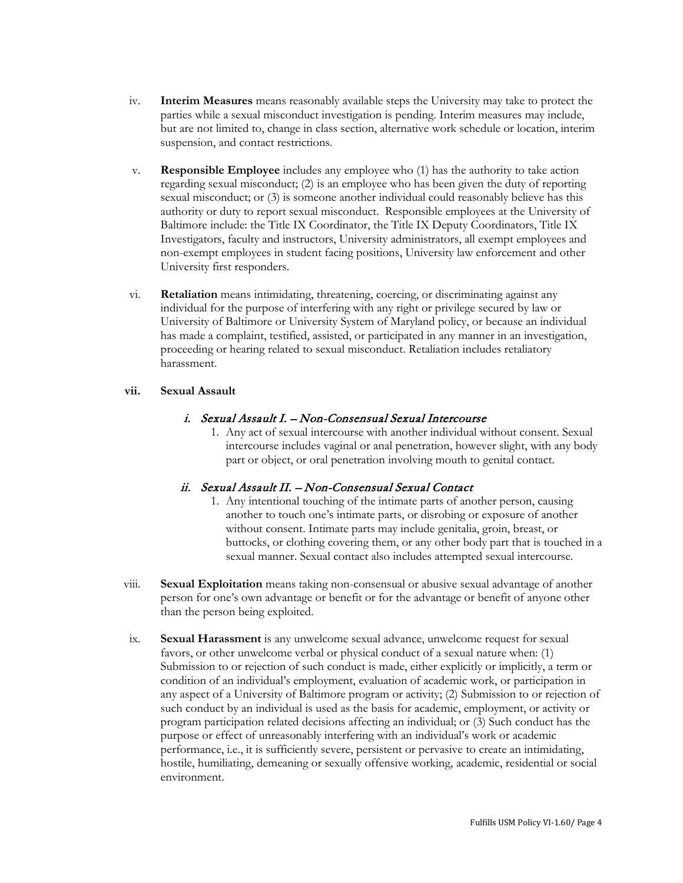- iv. **Interim Measures** means reasonably available steps the University may take to protect the parties while a sexual misconduct investigation is pending. Interim measures may include, but are not limited to, change in class section, alternative work schedule or location, interim suspension, and contact restrictions.
- v. **Responsible Employee** includes any employee who (1) has the authority to take action regarding sexual misconduct; (2) is an employee who has been given the duty of reporting sexual misconduct; or (3) is someone another individual could reasonably believe has this authority or duty to report sexual misconduct. Responsible employees at the University of Baltimore include: the Title IX Coordinator, the Title IX Deputy Coordinators, Title IX Investigators, faculty and instructors, University administrators, all exempt employees and non-exempt employees in student facing positions, University law enforcement and other University first responders.
- vi. **Retaliation** means intimidating, threatening, coercing, or discriminating against any individual for the purpose of interfering with any right or privilege secured by law or University of Baltimore or University System of Maryland policy, or because an individual has made a complaint, testified, assisted, or participated in any manner in an investigation, proceeding or hearing related to sexual misconduct. Retaliation includes retaliatory harassment.

#### **vii. Sexual Assault**

### i. Sexual Assault I. – Non-Consensual Sexual Intercourse

1. Any act of sexual intercourse with another individual without consent. Sexual intercourse includes vaginal or anal penetration, however slight, with any body part or object, or oral penetration involving mouth to genital contact.

### ii. Sexual Assault II. – Non-Consensual Sexual Contact

- 1. Any intentional touching of the intimate parts of another person, causing another to touch one's intimate parts, or disrobing or exposure of another without consent. Intimate parts may include genitalia, groin, breast, or buttocks, or clothing covering them, or any other body part that is touched in a sexual manner. Sexual contact also includes attempted sexual intercourse.
- viii. **Sexual Exploitation** means taking non-consensual or abusive sexual advantage of another person for one's own advantage or benefit or for the advantage or benefit of anyone other than the person being exploited.
- ix. **Sexual Harassment** is any unwelcome sexual advance, unwelcome request for sexual favors, or other unwelcome verbal or physical conduct of a sexual nature when: (1) Submission to or rejection of such conduct is made, either explicitly or implicitly, a term or condition of an individual's employment, evaluation of academic work, or participation in any aspect of a University of Baltimore program or activity; (2) Submission to or rejection of such conduct by an individual is used as the basis for academic, employment, or activity or program participation related decisions affecting an individual; or (3) Such conduct has the purpose or effect of unreasonably interfering with an individual's work or academic performance, i.e., it is sufficiently severe, persistent or pervasive to create an intimidating, hostile, humiliating, demeaning or sexually offensive working, academic, residential or social environment.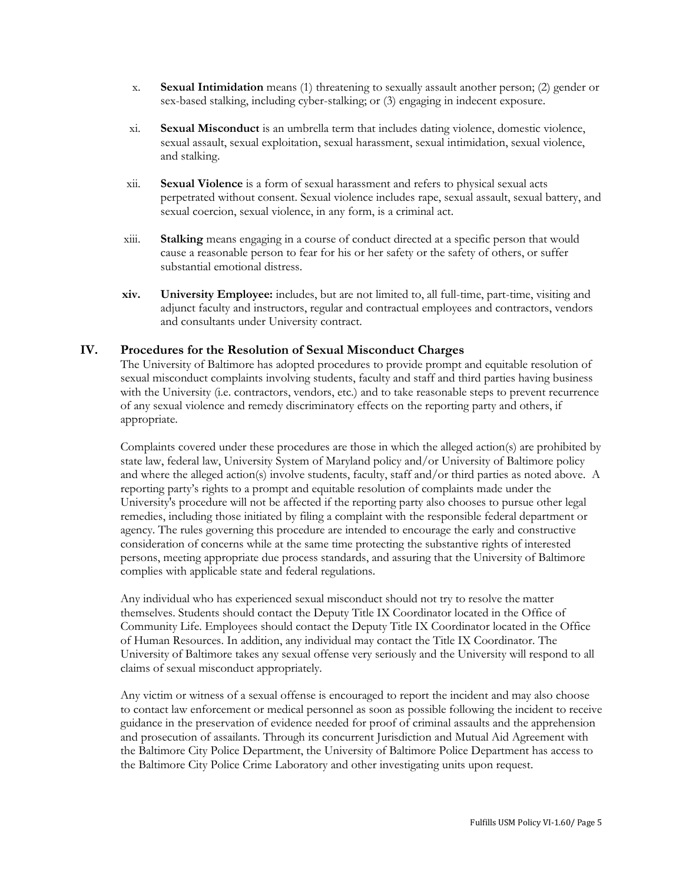- x. **Sexual Intimidation** means (1) threatening to sexually assault another person; (2) gender or sex-based stalking, including cyber-stalking; or (3) engaging in indecent exposure.
- xi. **Sexual Misconduct** is an umbrella term that includes dating violence, domestic violence, sexual assault, sexual exploitation, sexual harassment, sexual intimidation, sexual violence, and stalking.
- xii. **Sexual Violence** is a form of sexual harassment and refers to physical sexual acts perpetrated without consent. Sexual violence includes rape, sexual assault, sexual battery, and sexual coercion, sexual violence, in any form, is a criminal act.
- xiii. **Stalking** means engaging in a course of conduct directed at a specific person that would cause a reasonable person to fear for his or her safety or the safety of others, or suffer substantial emotional distress.
- **xiv. University Employee:** includes, but are not limited to, all full-time, part-time, visiting and adjunct faculty and instructors, regular and contractual employees and contractors, vendors and consultants under University contract.

### **IV. Procedures for the Resolution of Sexual Misconduct Charges**

The University of Baltimore has adopted procedures to provide prompt and equitable resolution of sexual misconduct complaints involving students, faculty and staff and third parties having business with the University (i.e. contractors, vendors, etc.) and to take reasonable steps to prevent recurrence of any sexual violence and remedy discriminatory effects on the reporting party and others, if appropriate.

Complaints covered under these procedures are those in which the alleged action(s) are prohibited by state law, federal law, University System of Maryland policy and/or University of Baltimore policy and where the alleged action(s) involve students, faculty, staff and/or third parties as noted above. A reporting party's rights to a prompt and equitable resolution of complaints made under the University's procedure will not be affected if the reporting party also chooses to pursue other legal remedies, including those initiated by filing a complaint with the responsible federal department or agency. The rules governing this procedure are intended to encourage the early and constructive consideration of concerns while at the same time protecting the substantive rights of interested persons, meeting appropriate due process standards, and assuring that the University of Baltimore complies with applicable state and federal regulations.

Any individual who has experienced sexual misconduct should not try to resolve the matter themselves. Students should contact the Deputy Title IX Coordinator located in the Office of Community Life. Employees should contact the Deputy Title IX Coordinator located in the Office of Human Resources. In addition, any individual may contact the Title IX Coordinator. The University of Baltimore takes any sexual offense very seriously and the University will respond to all claims of sexual misconduct appropriately.

Any victim or witness of a sexual offense is encouraged to report the incident and may also choose to contact law enforcement or medical personnel as soon as possible following the incident to receive guidance in the preservation of evidence needed for proof of criminal assaults and the apprehension and prosecution of assailants. Through its concurrent Jurisdiction and Mutual Aid Agreement with the Baltimore City Police Department, the University of Baltimore Police Department has access to the Baltimore City Police Crime Laboratory and other investigating units upon request.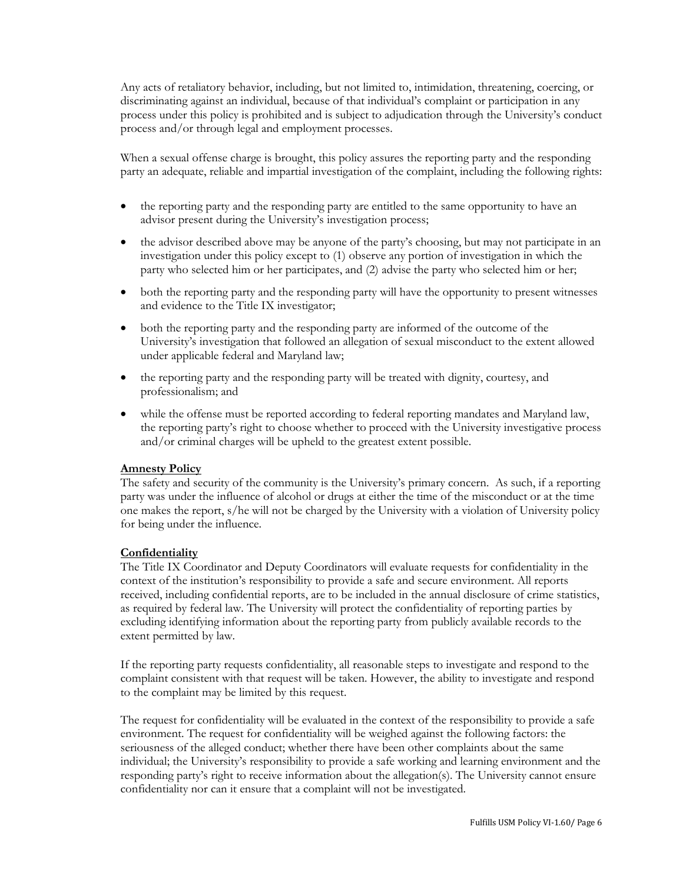Any acts of retaliatory behavior, including, but not limited to, intimidation, threatening, coercing, or discriminating against an individual, because of that individual's complaint or participation in any process under this policy is prohibited and is subject to adjudication through the University's conduct process and/or through legal and employment processes.

When a sexual offense charge is brought, this policy assures the reporting party and the responding party an adequate, reliable and impartial investigation of the complaint, including the following rights:

- the reporting party and the responding party are entitled to the same opportunity to have an advisor present during the University's investigation process;
- the advisor described above may be anyone of the party's choosing, but may not participate in an investigation under this policy except to (1) observe any portion of investigation in which the party who selected him or her participates, and (2) advise the party who selected him or her;
- both the reporting party and the responding party will have the opportunity to present witnesses and evidence to the Title IX investigator;
- both the reporting party and the responding party are informed of the outcome of the University's investigation that followed an allegation of sexual misconduct to the extent allowed under applicable federal and Maryland law;
- the reporting party and the responding party will be treated with dignity, courtesy, and professionalism; and
- while the offense must be reported according to federal reporting mandates and Maryland law, the reporting party's right to choose whether to proceed with the University investigative process and/or criminal charges will be upheld to the greatest extent possible.

#### **Amnesty Policy**

The safety and security of the community is the University's primary concern. As such, if a reporting party was under the influence of alcohol or drugs at either the time of the misconduct or at the time one makes the report, s/he will not be charged by the University with a violation of University policy for being under the influence.

#### **Confidentiality**

The Title IX Coordinator and Deputy Coordinators will evaluate requests for confidentiality in the context of the institution's responsibility to provide a safe and secure environment. All reports received, including confidential reports, are to be included in the annual disclosure of crime statistics, as required by federal law. The University will protect the confidentiality of reporting parties by excluding identifying information about the reporting party from publicly available records to the extent permitted by law.

If the reporting party requests confidentiality, all reasonable steps to investigate and respond to the complaint consistent with that request will be taken. However, the ability to investigate and respond to the complaint may be limited by this request.

The request for confidentiality will be evaluated in the context of the responsibility to provide a safe environment. The request for confidentiality will be weighed against the following factors: the seriousness of the alleged conduct; whether there have been other complaints about the same individual; the University's responsibility to provide a safe working and learning environment and the responding party's right to receive information about the allegation(s). The University cannot ensure confidentiality nor can it ensure that a complaint will not be investigated.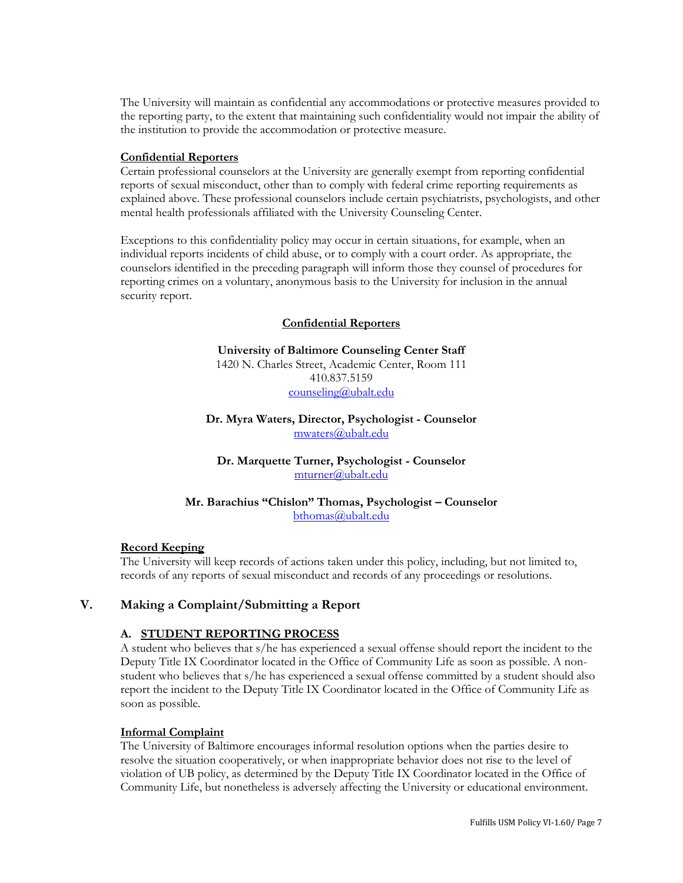The University will maintain as confidential any accommodations or protective measures provided to the reporting party, to the extent that maintaining such confidentiality would not impair the ability of the institution to provide the accommodation or protective measure.

#### **Confidential Reporters**

Certain professional counselors at the University are generally exempt from reporting confidential reports of sexual misconduct, other than to comply with federal crime reporting requirements as explained above. These professional counselors include certain psychiatrists, psychologists, and other mental health professionals affiliated with the University Counseling Center.

Exceptions to this confidentiality policy may occur in certain situations, for example, when an individual reports incidents of child abuse, or to comply with a court order. As appropriate, the counselors identified in the preceding paragraph will inform those they counsel of procedures for reporting crimes on a voluntary, anonymous basis to the University for inclusion in the annual security report.

### **Confidential Reporters**

**University of Baltimore Counseling Center Staff** 1420 N. Charles Street, Academic Center, Room 111 410.837.5159 [counseling@ubalt.edu](https://webmail.ubalt.edu/owa/redir.aspx?C=jGFIP3Qe30andqjF7msED12V6yuItNEI88CtH9MGDHx6LUQCugpZaAXRs-kQdb8obdgZgHEFUQM.&URL=mailto%3acounseling%40ubalt.edu)

**Dr. Myra Waters, Director, Psychologist - Counselor** [mwaters@ubalt.edu](https://webmail.ubalt.edu/owa/redir.aspx?C=jGFIP3Qe30andqjF7msED12V6yuItNEI88CtH9MGDHx6LUQCugpZaAXRs-kQdb8obdgZgHEFUQM.&URL=mailto%3amwaters%40ubalt.edu)

**Dr. Marquette Turner, Psychologist - Counselor** [mturner@ubalt.edu](https://webmail.ubalt.edu/owa/redir.aspx?C=jGFIP3Qe30andqjF7msED12V6yuItNEI88CtH9MGDHx6LUQCugpZaAXRs-kQdb8obdgZgHEFUQM.&URL=mailto%3amturner%40ubalt.edu)

**Mr. Barachius "Chislon" Thomas, Psychologist – Counselor** [bthomas@ubalt.edu](https://webmail.ubalt.edu/owa/redir.aspx?C=jGFIP3Qe30andqjF7msED12V6yuItNEI88CtH9MGDHx6LUQCugpZaAXRs-kQdb8obdgZgHEFUQM.&URL=mailto%3abthomas%40ubalt.edu)

#### **Record Keeping**

The University will keep records of actions taken under this policy, including, but not limited to, records of any reports of sexual misconduct and records of any proceedings or resolutions.

### **V. Making a Complaint/Submitting a Report**

### **A. STUDENT REPORTING PROCESS**

A student who believes that s/he has experienced a sexual offense should report the incident to the Deputy Title IX Coordinator located in the Office of Community Life as soon as possible. A nonstudent who believes that s/he has experienced a sexual offense committed by a student should also report the incident to the Deputy Title IX Coordinator located in the Office of Community Life as soon as possible.

#### **Informal Complaint**

The University of Baltimore encourages informal resolution options when the parties desire to resolve the situation cooperatively, or when inappropriate behavior does not rise to the level of violation of UB policy, as determined by the Deputy Title IX Coordinator located in the Office of Community Life, but nonetheless is adversely affecting the University or educational environment.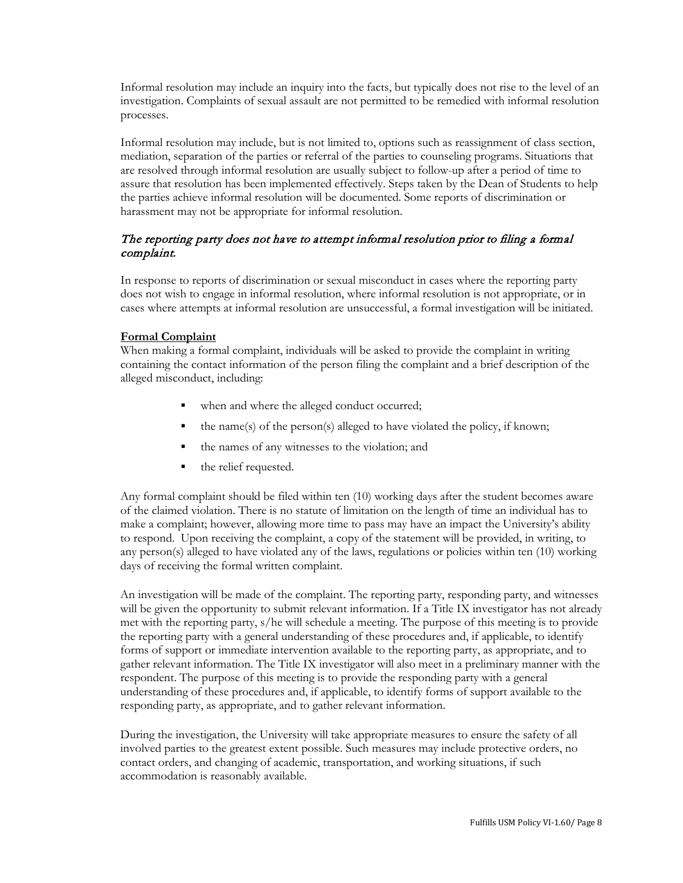Informal resolution may include an inquiry into the facts, but typically does not rise to the level of an investigation. Complaints of sexual assault are not permitted to be remedied with informal resolution processes.

Informal resolution may include, but is not limited to, options such as reassignment of class section, mediation, separation of the parties or referral of the parties to counseling programs. Situations that are resolved through informal resolution are usually subject to follow-up after a period of time to assure that resolution has been implemented effectively. Steps taken by the Dean of Students to help the parties achieve informal resolution will be documented. Some reports of discrimination or harassment may not be appropriate for informal resolution.

### The reporting party does not have to attempt informal resolution prior to filing a formal complaint.

In response to reports of discrimination or sexual misconduct in cases where the reporting party does not wish to engage in informal resolution, where informal resolution is not appropriate, or in cases where attempts at informal resolution are unsuccessful, a formal investigation will be initiated.

### **Formal Complaint**

When making a formal complaint, individuals will be asked to provide the complaint in writing containing the contact information of the person filing the complaint and a brief description of the alleged misconduct, including:

- when and where the alleged conduct occurred;
- the name(s) of the person(s) alleged to have violated the policy, if known;
- the names of any witnesses to the violation; and
- the relief requested.

Any formal complaint should be filed within ten (10) working days after the student becomes aware of the claimed violation. There is no statute of limitation on the length of time an individual has to make a complaint; however, allowing more time to pass may have an impact the University's ability to respond. Upon receiving the complaint, a copy of the statement will be provided, in writing, to any person(s) alleged to have violated any of the laws, regulations or policies within ten (10) working days of receiving the formal written complaint.

An investigation will be made of the complaint. The reporting party, responding party, and witnesses will be given the opportunity to submit relevant information. If a Title IX investigator has not already met with the reporting party, s/he will schedule a meeting. The purpose of this meeting is to provide the reporting party with a general understanding of these procedures and, if applicable, to identify forms of support or immediate intervention available to the reporting party, as appropriate, and to gather relevant information. The Title IX investigator will also meet in a preliminary manner with the respondent. The purpose of this meeting is to provide the responding party with a general understanding of these procedures and, if applicable, to identify forms of support available to the responding party, as appropriate, and to gather relevant information.

During the investigation, the University will take appropriate measures to ensure the safety of all involved parties to the greatest extent possible. Such measures may include protective orders, no contact orders, and changing of academic, transportation, and working situations, if such accommodation is reasonably available.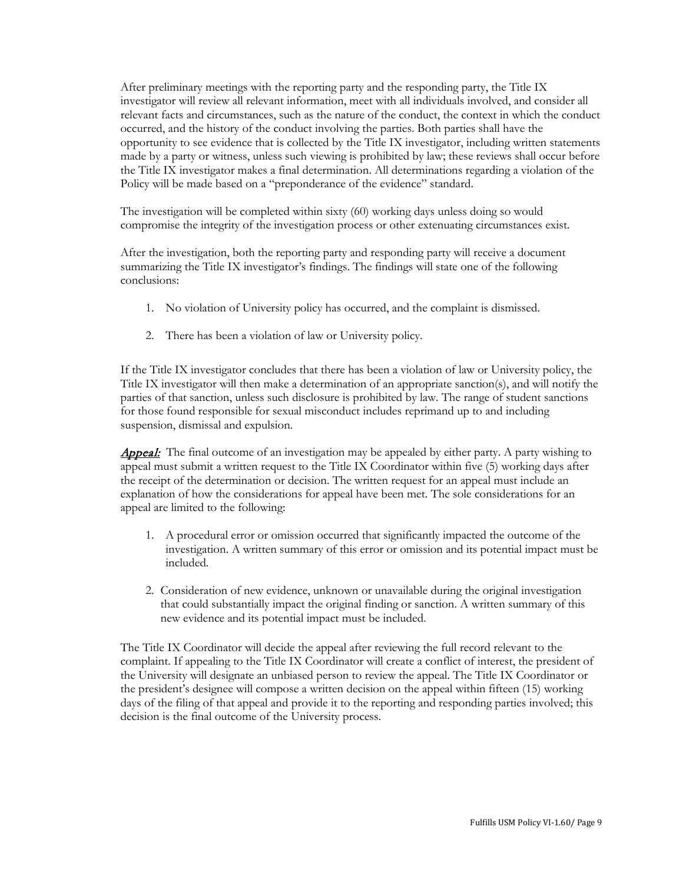After preliminary meetings with the reporting party and the responding party, the Title IX investigator will review all relevant information, meet with all individuals involved, and consider all relevant facts and circumstances, such as the nature of the conduct, the context in which the conduct occurred, and the history of the conduct involving the parties. Both parties shall have the opportunity to see evidence that is collected by the Title IX investigator, including written statements made by a party or witness, unless such viewing is prohibited by law; these reviews shall occur before the Title IX investigator makes a final determination. All determinations regarding a violation of the Policy will be made based on a "preponderance of the evidence" standard.

The investigation will be completed within sixty (60) working days unless doing so would compromise the integrity of the investigation process or other extenuating circumstances exist.

After the investigation, both the reporting party and responding party will receive a document summarizing the Title IX investigator's findings. The findings will state one of the following conclusions:

- 1. No violation of University policy has occurred, and the complaint is dismissed.
- 2. There has been a violation of law or University policy.

If the Title IX investigator concludes that there has been a violation of law or University policy, the Title IX investigator will then make a determination of an appropriate sanction(s), and will notify the parties of that sanction, unless such disclosure is prohibited by law. The range of student sanctions for those found responsible for sexual misconduct includes reprimand up to and including suspension, dismissal and expulsion.

**Appeal:** The final outcome of an investigation may be appealed by either party. A party wishing to appeal must submit a written request to the Title IX Coordinator within five (5) working days after the receipt of the determination or decision. The written request for an appeal must include an explanation of how the considerations for appeal have been met. The sole considerations for an appeal are limited to the following:

- 1. A procedural error or omission occurred that significantly impacted the outcome of the investigation. A written summary of this error or omission and its potential impact must be included.
- 2. Consideration of new evidence, unknown or unavailable during the original investigation that could substantially impact the original finding or sanction. A written summary of this new evidence and its potential impact must be included.

The Title IX Coordinator will decide the appeal after reviewing the full record relevant to the complaint. If appealing to the Title IX Coordinator will create a conflict of interest, the president of the University will designate an unbiased person to review the appeal. The Title IX Coordinator or the president's designee will compose a written decision on the appeal within fifteen (15) working days of the filing of that appeal and provide it to the reporting and responding parties involved; this decision is the final outcome of the University process.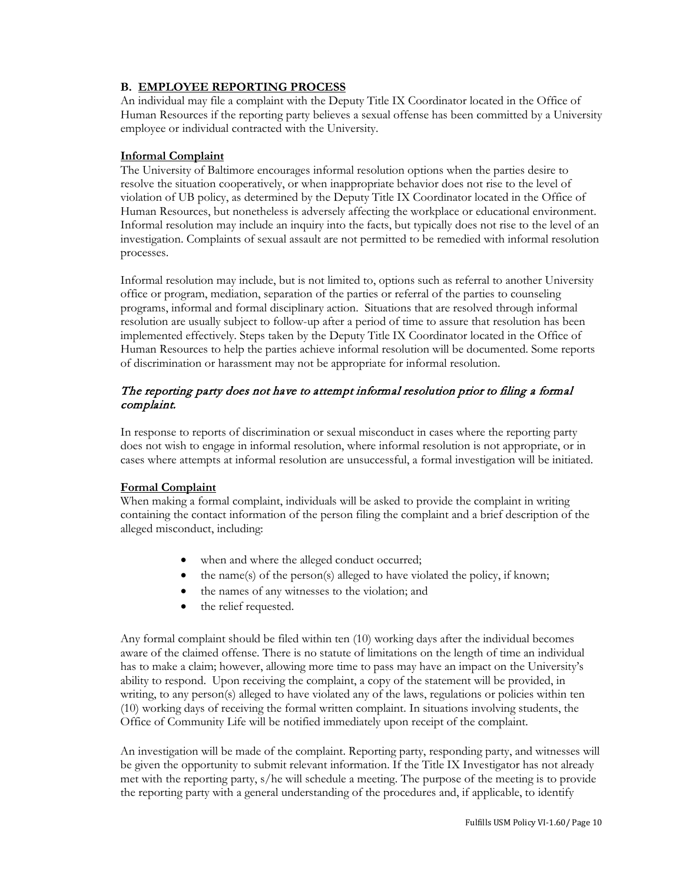### **B. EMPLOYEE REPORTING PROCESS**

An individual may file a complaint with the Deputy Title IX Coordinator located in the Office of Human Resources if the reporting party believes a sexual offense has been committed by a University employee or individual contracted with the University.

### **Informal Complaint**

The University of Baltimore encourages informal resolution options when the parties desire to resolve the situation cooperatively, or when inappropriate behavior does not rise to the level of violation of UB policy, as determined by the Deputy Title IX Coordinator located in the Office of Human Resources, but nonetheless is adversely affecting the workplace or educational environment. Informal resolution may include an inquiry into the facts, but typically does not rise to the level of an investigation. Complaints of sexual assault are not permitted to be remedied with informal resolution processes.

Informal resolution may include, but is not limited to, options such as referral to another University office or program, mediation, separation of the parties or referral of the parties to counseling programs, informal and formal disciplinary action. Situations that are resolved through informal resolution are usually subject to follow-up after a period of time to assure that resolution has been implemented effectively. Steps taken by the Deputy Title IX Coordinator located in the Office of Human Resources to help the parties achieve informal resolution will be documented. Some reports of discrimination or harassment may not be appropriate for informal resolution.

## The reporting party does not have to attempt informal resolution prior to filing a formal complaint.

In response to reports of discrimination or sexual misconduct in cases where the reporting party does not wish to engage in informal resolution, where informal resolution is not appropriate, or in cases where attempts at informal resolution are unsuccessful, a formal investigation will be initiated.

### **Formal Complaint**

When making a formal complaint, individuals will be asked to provide the complaint in writing containing the contact information of the person filing the complaint and a brief description of the alleged misconduct, including:

- when and where the alleged conduct occurred;
- the name(s) of the person(s) alleged to have violated the policy, if known;
- the names of any witnesses to the violation; and
- the relief requested.

Any formal complaint should be filed within ten (10) working days after the individual becomes aware of the claimed offense. There is no statute of limitations on the length of time an individual has to make a claim; however, allowing more time to pass may have an impact on the University's ability to respond. Upon receiving the complaint, a copy of the statement will be provided, in writing, to any person(s) alleged to have violated any of the laws, regulations or policies within ten (10) working days of receiving the formal written complaint. In situations involving students, the Office of Community Life will be notified immediately upon receipt of the complaint.

An investigation will be made of the complaint. Reporting party, responding party, and witnesses will be given the opportunity to submit relevant information. If the Title IX Investigator has not already met with the reporting party, s/he will schedule a meeting. The purpose of the meeting is to provide the reporting party with a general understanding of the procedures and, if applicable, to identify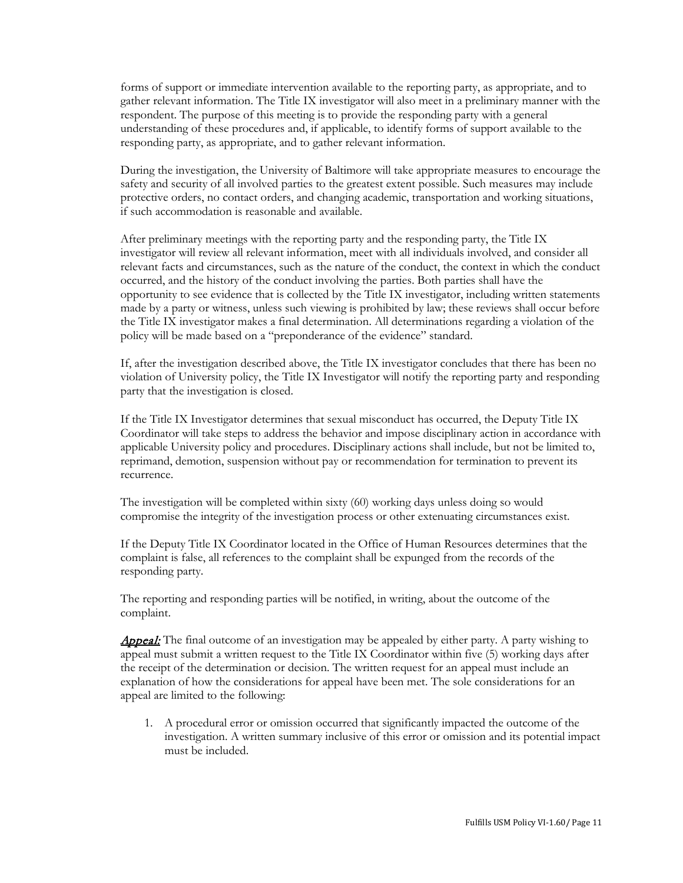forms of support or immediate intervention available to the reporting party, as appropriate, and to gather relevant information. The Title IX investigator will also meet in a preliminary manner with the respondent. The purpose of this meeting is to provide the responding party with a general understanding of these procedures and, if applicable, to identify forms of support available to the responding party, as appropriate, and to gather relevant information.

During the investigation, the University of Baltimore will take appropriate measures to encourage the safety and security of all involved parties to the greatest extent possible. Such measures may include protective orders, no contact orders, and changing academic, transportation and working situations, if such accommodation is reasonable and available.

After preliminary meetings with the reporting party and the responding party, the Title IX investigator will review all relevant information, meet with all individuals involved, and consider all relevant facts and circumstances, such as the nature of the conduct, the context in which the conduct occurred, and the history of the conduct involving the parties. Both parties shall have the opportunity to see evidence that is collected by the Title IX investigator, including written statements made by a party or witness, unless such viewing is prohibited by law; these reviews shall occur before the Title IX investigator makes a final determination. All determinations regarding a violation of the policy will be made based on a "preponderance of the evidence" standard.

If, after the investigation described above, the Title IX investigator concludes that there has been no violation of University policy, the Title IX Investigator will notify the reporting party and responding party that the investigation is closed.

If the Title IX Investigator determines that sexual misconduct has occurred, the Deputy Title IX Coordinator will take steps to address the behavior and impose disciplinary action in accordance with applicable University policy and procedures. Disciplinary actions shall include, but not be limited to, reprimand, demotion, suspension without pay or recommendation for termination to prevent its recurrence.

The investigation will be completed within sixty (60) working days unless doing so would compromise the integrity of the investigation process or other extenuating circumstances exist.

If the Deputy Title IX Coordinator located in the Office of Human Resources determines that the complaint is false, all references to the complaint shall be expunged from the records of the responding party.

The reporting and responding parties will be notified, in writing, about the outcome of the complaint.

**Appeal:** The final outcome of an investigation may be appealed by either party. A party wishing to appeal must submit a written request to the Title IX Coordinator within five (5) working days after the receipt of the determination or decision. The written request for an appeal must include an explanation of how the considerations for appeal have been met. The sole considerations for an appeal are limited to the following:

1. A procedural error or omission occurred that significantly impacted the outcome of the investigation. A written summary inclusive of this error or omission and its potential impact must be included.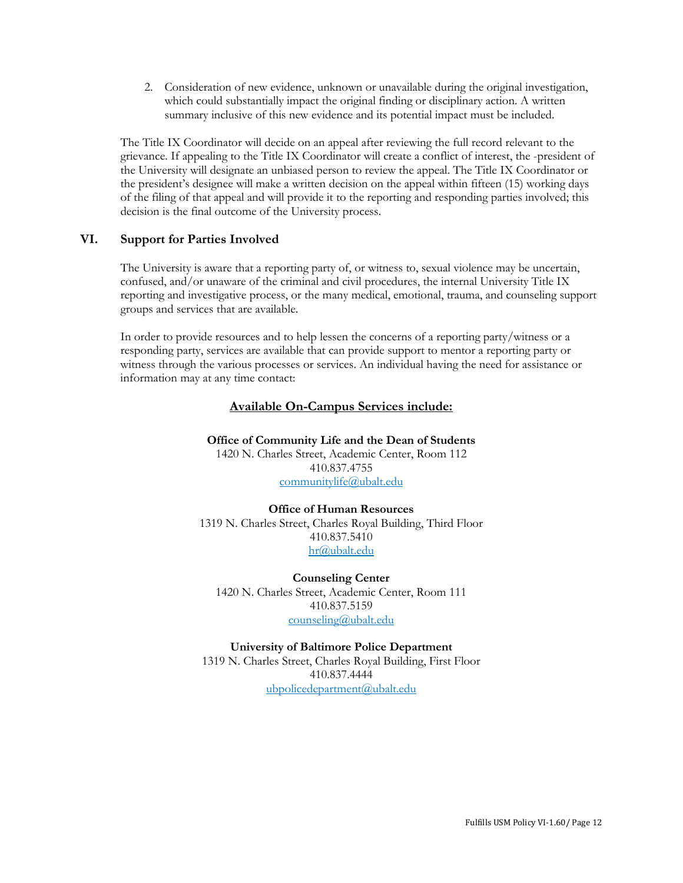2. Consideration of new evidence, unknown or unavailable during the original investigation, which could substantially impact the original finding or disciplinary action. A written summary inclusive of this new evidence and its potential impact must be included.

The Title IX Coordinator will decide on an appeal after reviewing the full record relevant to the grievance. If appealing to the Title IX Coordinator will create a conflict of interest, the -president of the University will designate an unbiased person to review the appeal. The Title IX Coordinator or the president's designee will make a written decision on the appeal within fifteen (15) working days of the filing of that appeal and will provide it to the reporting and responding parties involved; this decision is the final outcome of the University process.

### **VI. Support for Parties Involved**

The University is aware that a reporting party of, or witness to, sexual violence may be uncertain, confused, and/or unaware of the criminal and civil procedures, the internal University Title IX reporting and investigative process, or the many medical, emotional, trauma, and counseling support groups and services that are available.

In order to provide resources and to help lessen the concerns of a reporting party/witness or a responding party, services are available that can provide support to mentor a reporting party or witness through the various processes or services. An individual having the need for assistance or information may at any time contact:

### **Available On-Campus Services include:**

**Office of Community Life and the Dean of Students** 1420 N. Charles Street, Academic Center, Room 112 410.837.4755 [communitylife@ubalt.edu](mailto:communitylife@ubalt.edu)

#### **Office of Human Resources**

1319 N. Charles Street, Charles Royal Building, Third Floor 410.837.5410 [hr@ubalt.edu](mailto:hr@ubalt.edu)

**Counseling Center**  1420 N. Charles Street, Academic Center, Room 111 410.837.5159 [counseling@ubalt.edu](mailto:counseling@ubalt.edu)

**University of Baltimore Police Department** 1319 N. Charles Street, Charles Royal Building, First Floor 410.837.4444 [ubpolicedepartment@ubalt.edu](mailto:ubpolicedepartment@ubalt.edu)